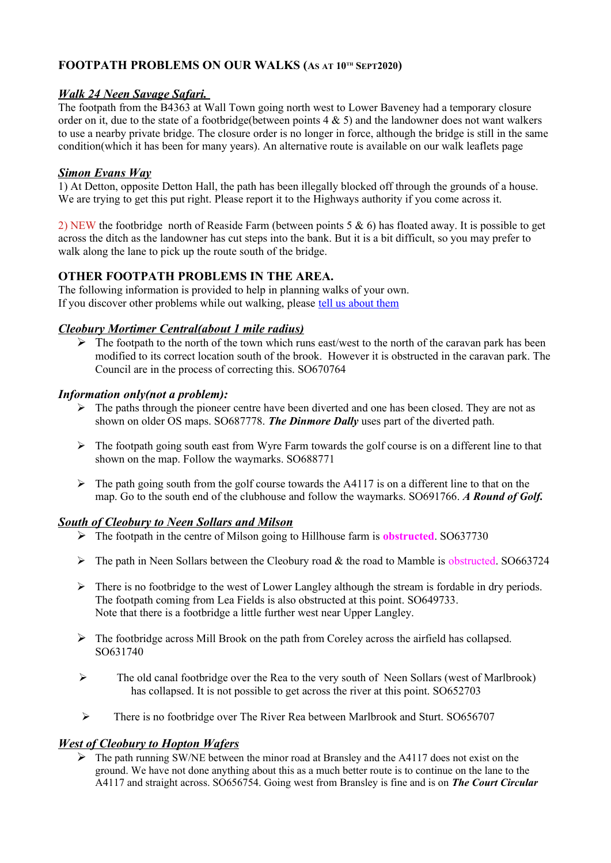# **FOOTPATH PROBLEMS ON OUR WALKS (A<sup>S</sup> AT 10TH SEPT2020)**

## *Walk 24 Neen Savage Safari.*

The footpath from the B4363 at Wall Town going north west to Lower Baveney had a temporary closure order on it, due to the state of a footbridge(between points  $4 \& 5$ ) and the landowner does not want walkers to use a nearby private bridge. The closure order is no longer in force, although the bridge is still in the same condition(which it has been for many years). An alternative route is available on our walk leaflets page

## *Simon Evans Way*

1) At Detton, opposite Detton Hall, the path has been illegally blocked off through the grounds of a house. We are trying to get this put right. Please report it to the Highways authority if you come across it.

2) NEW the footbridge north of Reaside Farm (between points 5 & 6) has floated away. It is possible to get across the ditch as the landowner has cut steps into the bank. But it is a bit difficult, so you may prefer to walk along the lane to pick up the route south of the bridge.

## **OTHER FOOTPATH PROBLEMS IN THE AREA.**

The following information is provided to help in planning walks of your own. If you discover other problems while out walking, please [tell us about them](mailto:susanjsharp44@gmail.com)

## *Cleobury Mortimer Central(about 1 mile radius)*

 $\triangleright$  The footpath to the north of the town which runs east/west to the north of the caravan park has been modified to its correct location south of the brook. However it is obstructed in the caravan park. The Council are in the process of correcting this. SO670764

## *Information only(not a problem):*

- $\triangleright$  The paths through the pioneer centre have been diverted and one has been closed. They are not as shown on older OS maps. SO687778. *The Dinmore Dally* uses part of the diverted path.
- $\triangleright$  The footpath going south east from Wyre Farm towards the golf course is on a different line to that shown on the map. Follow the waymarks. SO688771
- $\triangleright$  The path going south from the golf course towards the A4117 is on a different line to that on the map. Go to the south end of the clubhouse and follow the waymarks. SO691766. *A Round of Golf.*

## *South of Cleobury to Neen Sollars and Milson*

- The footpath in the centre of Milson going to Hillhouse farm is **obstructed**. SO637730
- $\triangleright$  The path in Neen Sollars between the Cleobury road & the road to Mamble is obstructed. SO663724
- $\triangleright$  There is no footbridge to the west of Lower Langley although the stream is fordable in dry periods. The footpath coming from Lea Fields is also obstructed at this point. SO649733. Note that there is a footbridge a little further west near Upper Langley.
- ➢ The footbridge across Mill Brook on the path from Coreley across the airfield has collapsed. SO631740
- ➢ The old canal footbridge over the Rea to the very south of Neen Sollars (west of Marlbrook) has collapsed. It is not possible to get across the river at this point. SO652703
- There is no footbridge over The River Rea between Marlbrook and Sturt. SO656707

## *West of Cleobury to Hopton Wafers*

 $\triangleright$  The path running SW/NE between the minor road at Bransley and the A4117 does not exist on the ground. We have not done anything about this as a much better route is to continue on the lane to the A4117 and straight across. SO656754. Going west from Bransley is fine and is on *The Court Circular*